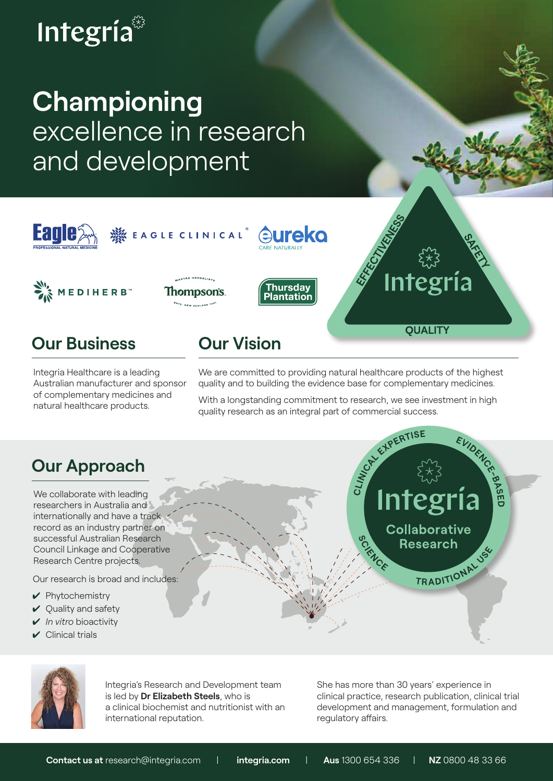# Integría

## **Championing**  excellence in research and development



Integria Healthcare is a leading Australian manufacturer and sponsor of complementary medicines and natural healthcare products.

We are committed to providing natural healthcare products of the highest quality and to building the evidence base for complementary medicines.

quality research as an integral part of commercial success.

## **Our Approach**

We collaborate with leading researchers in Australia and internationally and have a track record as an industry partner on successful Australian Research Council Linkage and Cooperative Research Centre projects.

Our research is broad and includes:

- $\blacktriangleright$  Phytochemistry
- $\vee$  Quality and safety
- *In vitro* bioactivity
- $\checkmark$  Clinical trials





Integria's Research and Development team is led by **Dr Elizabeth Steels**, who is a clinical biochemist and nutritionist with an international reputation.

She has more than 30 years' experience in clinical practice, research publication, clinical trial development and management, formulation and regulatory affairs.